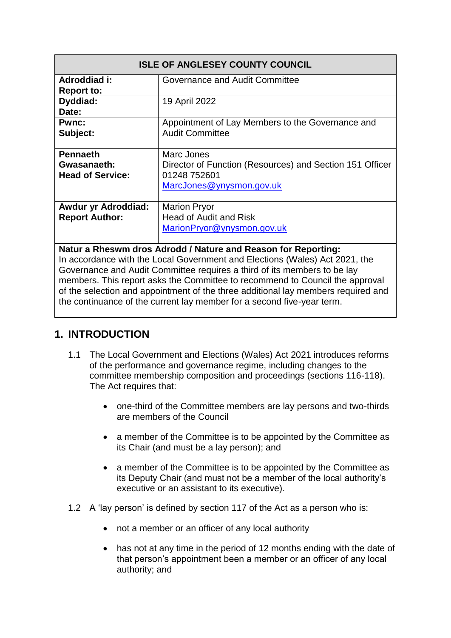| <b>ISLE OF ANGLESEY COUNTY COUNCIL</b>                                                                                                                                                                                                                                                                                                                                                        |                                                                                                                    |
|-----------------------------------------------------------------------------------------------------------------------------------------------------------------------------------------------------------------------------------------------------------------------------------------------------------------------------------------------------------------------------------------------|--------------------------------------------------------------------------------------------------------------------|
| Adroddiad i:<br><b>Report to:</b>                                                                                                                                                                                                                                                                                                                                                             | Governance and Audit Committee                                                                                     |
| Dyddiad:<br>Date:                                                                                                                                                                                                                                                                                                                                                                             | 19 April 2022                                                                                                      |
| <b>Pwnc:</b><br>Subject:                                                                                                                                                                                                                                                                                                                                                                      | Appointment of Lay Members to the Governance and<br><b>Audit Committee</b>                                         |
| <b>Pennaeth</b><br>Gwasanaeth:<br><b>Head of Service:</b>                                                                                                                                                                                                                                                                                                                                     | Marc Jones<br>Director of Function (Resources) and Section 151 Officer<br>01248 752601<br>MarcJones@ynysmon.gov.uk |
| <b>Awdur yr Adroddiad:</b><br><b>Report Author:</b>                                                                                                                                                                                                                                                                                                                                           | <b>Marion Pryor</b><br>Head of Audit and Risk<br>MarionPryor@ynysmon.gov.uk                                        |
| Natur a Rheswm dros Adrodd / Nature and Reason for Reporting:<br>In accordance with the Local Government and Elections (Wales) Act 2021, the<br>Governance and Audit Committee requires a third of its members to be lay<br>members. This report asks the Committee to recommend to Council the approval<br>of the selection and appointment of the three additional lay members required and |                                                                                                                    |

## **1. INTRODUCTION**

1.1 The Local Government and Elections (Wales) Act 2021 introduces reforms of the performance and governance regime, including changes to the committee membership composition and proceedings (sections 116-118). The Act requires that:

the continuance of the current lay member for a second five-year term.

- one-third of the Committee members are lay persons and two-thirds are members of the Council
- a member of the Committee is to be appointed by the Committee as its Chair (and must be a lay person); and
- a member of the Committee is to be appointed by the Committee as its Deputy Chair (and must not be a member of the local authority's executive or an assistant to its executive).
- 1.2 A 'lay person' is defined by section 117 of the Act as a person who is:
	- not a member or an officer of any local authority
	- has not at any time in the period of 12 months ending with the date of that person's appointment been a member or an officer of any local authority; and